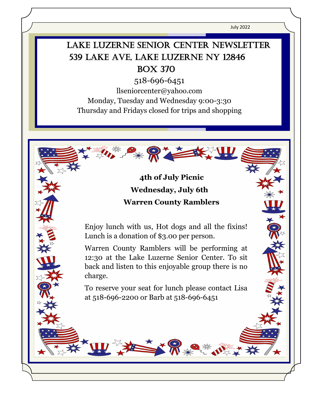July 2022

# LAKE LUZERNE SENIOR CENTER NEWSLETTER 539 Lake Ave, Lake Luzerne NY 12846 Box 370

518-696-6451

llseniorcenter@yahoo.com

Monday, Tuesday and Wednesday 9:00-3:30 Thursday and Fridays closed for trips and shopping

> **4th of July Picnic Wednesday, July 6th Warren County Ramblers**

Enjoy lunch with us, Hot dogs and all the fixins! Lunch is a donation of \$3.00 per person.

 $\overline{a}$ 

į .<br>۲

> Warren County Ramblers will be performing at 12:30 at the Lake Luzerne Senior Center. To sit back and listen to this enjoyable group there is no charge.

> To reserve your seat for lunch please contact Lisa at 518-696-2200 or Barb at 518-696-6451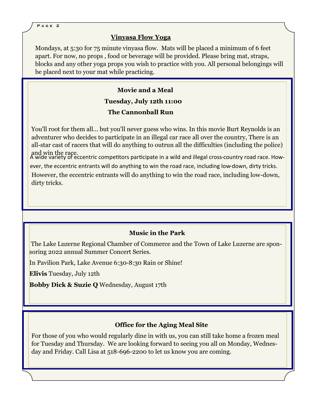#### **Vinyasa Flow Yoga**

Mondays, at 5:30 for 75 minute vinyasa flow. Mats will be placed a minimum of 6 feet apart. For now, no props , food or beverage will be provided. Please bring mat, straps, blocks and any other yoga props you wish to practice with you. All personal belongings will be placed next to your mat while practicing.

# **Movie and a Meal Tuesday, July 12th 11:00 The Cannonball Run**

You'll root for them all... but you'll never guess who wins. In this movie Burt Reynolds is an adventurer who decides to participate in an illegal car race all over the country, There is an all-star cast of racers that will do anything to outrun all the difficulties (including the police) and win the race.

A wide variety of eccentric competitors participate in a wild and illegal cross-country road race. However, the eccentric entrants will do anything to win the road race, including low-down, dirty tricks. However, the eccentric entrants will do anything to win the road race, including low-down, dirty tricks.

### **Music in the Park**

The Lake Luzerne Regional Chamber of Commerce and the Town of Lake Luzerne are sponsoring 2022 annual Summer Concert Series.

In Pavilion Park, Lake Avenue 6:30-8:30 Rain or Shine!

**Elivis** Tuesday, July 12th

**Bobby Dick & Suzie Q** Wednesday, August 17th

#### **Office for the Aging Meal Site**

For those of you who would regularly dine in with us, you can still take home a frozen meal for Tuesday and Thursday. We are looking forward to seeing you all on Monday, Wednesday and Friday. Call Lisa at 518-696-2200 to let us know you are coming.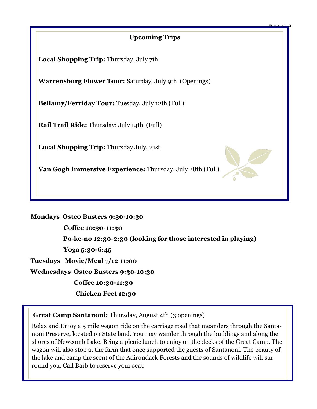## **Upcoming Trips**

**P a g e 3**

**Local Shopping Trip:** Thursday, July 7th

**Warrensburg Flower Tour:** Saturday, July 9th (Openings)

**Bellamy/Ferriday Tour:** Tuesday, July 12th (Full)

**Rail Trail Ride:** Thursday: July 14th (Full)

**Local Shopping Trip:** Thursday July, 21st

**Van Gogh Immersive Experience:** Thursday, July 28th (Full)

**Mondays Osteo Busters 9:30-10:30 Coffee 10:30-11:30 Po-ke-no 12:30-2:30 (looking for those interested in playing) Yoga 5:30-6:45 Tuesdays Movie/Meal 7/12 11:00 Wednesdays Osteo Busters 9:30-10:30 Coffee 10:30-11:30 Chicken Feet 12:30**

 **Great Camp Santanoni:** Thursday, August 4th (3 openings)

Relax and Enjoy a 5 mile wagon ride on the carriage road that meanders through the Santanoni Preserve, located on State land. You may wander through the buildings and along the shores of Newcomb Lake. Bring a picnic lunch to enjoy on the decks of the Great Camp. The wagon will also stop at the farm that once supported the guests of Santanoni. The beauty of the lake and camp the scent of the Adirondack Forests and the sounds of wildlife will surround you. Call Barb to reserve your seat.